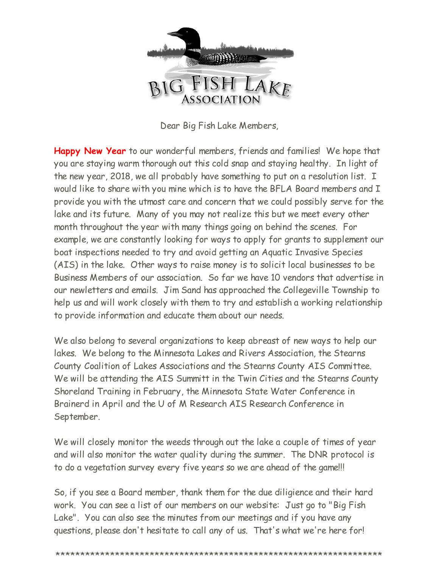

Dear Big Fish Lake Members,

**Happy New Year** to our wonderful members, friends and families! We hope that you are staying warm thorough out this cold snap and staying healthy. In light of the new year, 2018, we all probably have something to put on a resolution list. I would like to share with you mine which is to have the BFLA Board members and I provide you with the utmost care and concern that we could possibly serve for the lake and its future. Many of you may not realize this but we meet every other month throughout the year with many things going on behind the scenes. For example, we are constantly looking for ways to apply for grants to supplement our boat inspections needed to try and avoid getting an Aquatic Invasive Species (AIS) in the lake. Other ways to raise money is to solicit local businesses to be Business Members of our association. So far we have 10 vendors that advertise in our newletters and emails. Jim Sand has approached the Collegeville Township to help us and will work closely with them to try and establish a working relationship to provide information and educate them about our needs.

We also belong to several organizations to keep abreast of new ways to help our lakes. We belong to the Minnesota Lakes and Rivers Association, the Stearns County Coalition of Lakes Associations and the Stearns County AIS Committee. We will be attending the AIS Summitt in the Twin Cities and the Stearns County Shoreland Training in February, the Minnesota State Water Conference in Brainerd in April and the U of M Research AIS Research Conference in September.

We will closely monitor the weeds through out the lake a couple of times of year and will also monitor the water quality during the summer. The DNR protocol is to do a vegetation survey every five years so we are ahead of the game!!!

So, if you see a Board member, thank them for the due diligience and their hard work. You can see a list of our members on our website: Just go to "Big Fish Lake". You can also see the minutes from our meetings and if you have any questions, please don't hesitate to call any of us. That's what we're here for!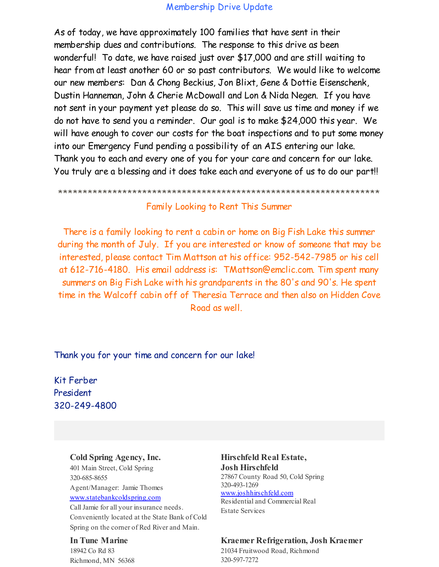## Membership Drive Update

As of today, we have approximately 100 families that have sent in their membership dues and contributions. The response to this drive as been wonderful! To date, we have raised just over \$17,000 and are still waiting to hear from at least another 60 or so past contributors. We would like to welcome our new members: Dan & Chong Beckius, Jon Blixt, Gene & Dottie Eisenschenk, Dustin Hanneman, John & Cherie McDowall and Lon & Nida Negen. If you have not sent in your payment yet please do so. This will save us time and money if we do not have to send you a reminder. Our goal is to make \$24,000 this year. We will have enough to cover our costs for the boat inspections and to put some money into our Emergency Fund pending a possibility of an AIS entering our lake. Thank you to each and every one of you for your care and concern for our lake. You truly are a blessing and it does take each and everyone of us to do our part!!

\*\*\*\*\*\*\*\*\*\*\*\*\*\*\*\*\*\*\*\*\*\*\*\*\*\*\*\*\*\*\*\*\*\*\*\*\*\*\*\*\*\*\*\*\*\*\*\*\*\*\*\*\*\*\*\*\*\*\*\*\*\*\*\*\*

## Family Looking to Rent This Summer

There is a family looking to rent a cabin or home on Big Fish Lake this summer during the month of July. If you are interested or know of someone that may be interested, please contact Tim Mattson at his office: 952-542-7985 or his cell at 612-716-4180. His email address is: TMattson@emclic.com. Tim spent many summers on Big Fish Lake with his grandparents in the 80's and 90's. He spent time in the Walcoff cabin off of Theresia Terrace and then also on Hidden Cove Road as well.

## Thank you for your time and concern for our lake!

Kit Ferber President 320-249-4800

## **Cold Spring Agency, Inc.**

401 Main Street, Cold Spring 320-685-8655 Agent/Manager: Jamie Thomes [www.statebankcoldspring.com](http://r20.rs6.net/tn.jsp?f=001dXLVfn0JWnoztlg55MXMMDI5gB0pW9SzyGtXm3R0Kt4riQ0mns_wjGu_q_W93yUnGmDMQYj4sbCqo4uMgB5a7vdMqAwygC4E8HW5wEf3meu05ejIsdEqRoHukoKCoCKR_ag9mPEk0S2mMfbfsr2_X8c8c5Zt5ukG7nfR8vSL-BHKkuHeH7NKdQ==&c=&ch=)

CallJamie for all your insurance needs. Conveniently located at the State Bank of Cold Spring on the corner of Red River and Main.

#### **In Tune Marine**

18942 Co Rd 83 Richmond, MN 56368

#### **Hirschfeld Real Estate, Josh Hirschfeld** 27867 County Road 50, Cold Spring 320-493-1269 [www.joshhirschfeld.com](http://r20.rs6.net/tn.jsp?f=001dXLVfn0JWnoztlg55MXMMDI5gB0pW9SzyGtXm3R0Kt4riQ0mns_wjGu_q_W93yUn_Nr-uAFxnhPExPhe_BkoeIp1rCnYGWwCxMgNVojgPUHzlfNT-irbPC0CLFyygUSamHbTzozhyq7jndInrFHEEustt7Qi1r5o5dP-VLxpBaJ5gS59EhwyAw==&c=&ch=) Residential and Commercial Real Estate Services

#### **Kraemer Refrigeration, Josh Kraemer**

21034 Fruitwood Road, Richmond 320-597-7272